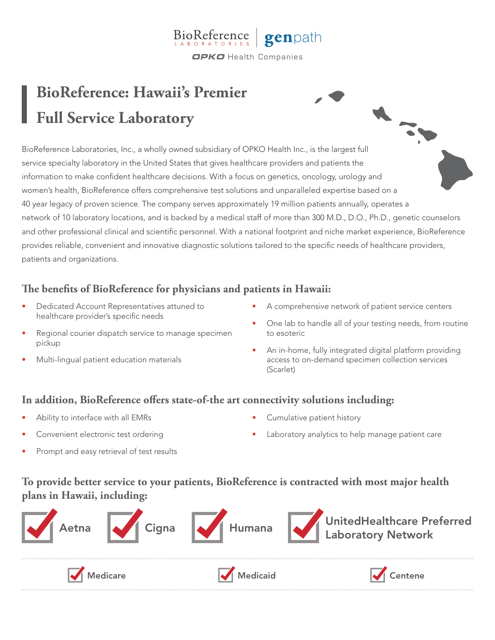#### **BioReference** genpath **OPKO** Health Companies

# **BioReference: Hawaii's Premier Full Service Laboratory**

BioReference Laboratories, Inc., a wholly owned subsidiary of OPKO Health Inc., is the largest full service specialty laboratory in the United States that gives healthcare providers and patients the information to make confident healthcare decisions. With a focus on genetics, oncology, urology and women's health, BioReference offers comprehensive test solutions and unparalleled expertise based on a 40 year legacy of proven science. The company serves approximately 19 million patients annually, operates a network of 10 laboratory locations, and is backed by a medical staff of more than 300 M.D., D.O., Ph.D., genetic counselors and other professional clinical and scientific personnel. With a national footprint and niche market experience, BioReference provides reliable, convenient and innovative diagnostic solutions tailored to the specific needs of healthcare providers, patients and organizations.

## **The benefits of BioReference for physicians and patients in Hawaii:**

- Dedicated Account Representatives attuned to healthcare provider's specific needs
- Regional courier dispatch service to manage specimen pickup
- Multi-lingual patient education materials
- A comprehensive network of patient service centers
- One lab to handle all of your testing needs, from routine to esoteric

• An in-home, fully integrated digital platform providing access to on-demand specimen collection services (Scarlet)

### **In addition, BioReference offers state-of-the art connectivity solutions including:**

- Ability to interface with all EMRs
- Convenient electronic test ordering
- Cumulative patient history
- Laboratory analytics to help manage patient care

• Prompt and easy retrieval of test results

**To provide better service to your patients, BioReference is contracted with most major health plans in Hawaii, including:**